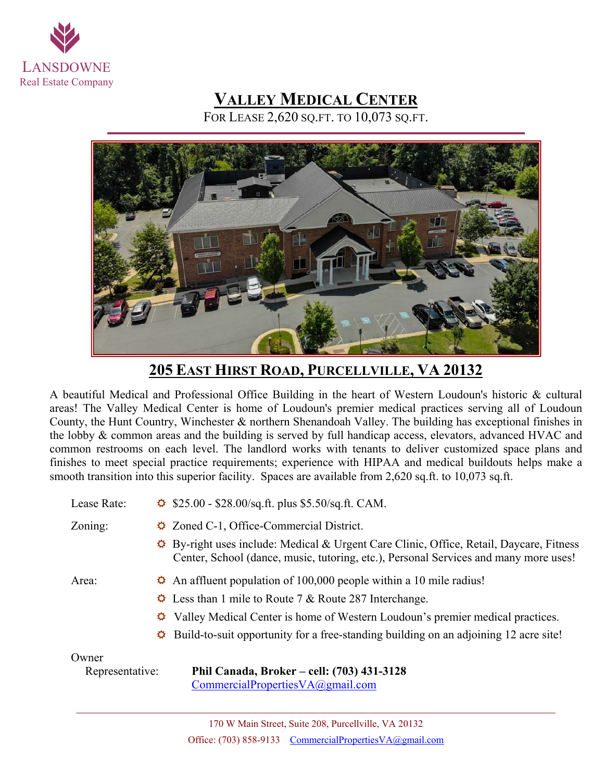

## **VALLEY MEDICAL CENTER**

FOR LEASE 2,620 SQ.FT. TO 10,073 SQ.FT.



**205 EAST HIRST ROAD, PURCELLVILLE, VA 20132** 

A beautiful Medical and Professional Office Building in the heart of Western Loudoun's historic & cultural areas! The Valley Medical Center is home of Loudoun's premier medical practices serving all of Loudoun County, the Hunt Country, Winchester & northern Shenandoah Valley. The building has exceptional finishes in the lobby & common areas and the building is served by full handicap access, elevators, advanced HVAC and common restrooms on each level. The landlord works with tenants to deliver customized space plans and finishes to meet special practice requirements; experience with HIPAA and medical buildouts helps make a smooth transition into this superior facility. Spaces are available from 2,620 sq.ft. to 10,073 sq.ft.

| Lease Rate:     | $\ddot{\bullet}$ \$25.00 - \$28.00/sq.ft. plus \$5.50/sq.ft. CAM.                                                                                                                             |
|-----------------|-----------------------------------------------------------------------------------------------------------------------------------------------------------------------------------------------|
| Zoning:         | $\triangle$ Zoned C-1, Office-Commercial District.                                                                                                                                            |
|                 | $\hat{\varphi}$ By-right uses include: Medical & Urgent Care Clinic, Office, Retail, Daycare, Fitness<br>Center, School (dance, music, tutoring, etc.), Personal Services and many more uses! |
| Area:           | $\hat{\varphi}$ An affluent population of 100,000 people within a 10 mile radius!                                                                                                             |
|                 | $\ddot{\phi}$ Less than 1 mile to Route 7 & Route 287 Interchange.                                                                                                                            |
|                 | $\Diamond$ Valley Medical Center is home of Western Loudoun's premier medical practices.                                                                                                      |
|                 | $\hat{\varphi}$ Build-to-suit opportunity for a free-standing building on an adjoining 12 acre site!                                                                                          |
| Owner           |                                                                                                                                                                                               |
| Representative: | Phil Canada, Broker – cell: (703) 431-3128<br>$CommercialPropertiesVA(Qgmail.com)$                                                                                                            |

 $\mathcal{L}_\mathcal{L} = \{ \mathcal{L}_\mathcal{L} = \{ \mathcal{L}_\mathcal{L} = \{ \mathcal{L}_\mathcal{L} = \{ \mathcal{L}_\mathcal{L} = \{ \mathcal{L}_\mathcal{L} = \{ \mathcal{L}_\mathcal{L} = \{ \mathcal{L}_\mathcal{L} = \{ \mathcal{L}_\mathcal{L} = \{ \mathcal{L}_\mathcal{L} = \{ \mathcal{L}_\mathcal{L} = \{ \mathcal{L}_\mathcal{L} = \{ \mathcal{L}_\mathcal{L} = \{ \mathcal{L}_\mathcal{L} = \{ \mathcal{L}_\mathcal{$